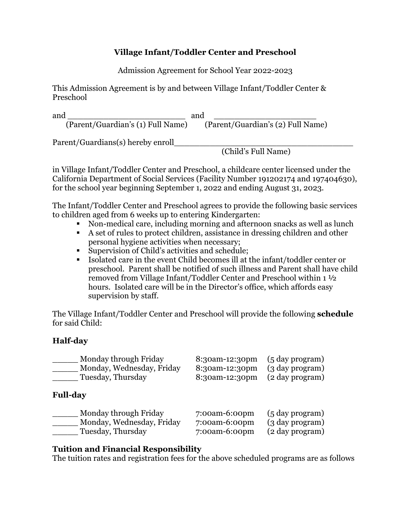# **Village Infant/Toddler Center and Preschool**

Admission Agreement for School Year 2022-2023

This Admission Agreement is by and between Village Infant/Toddler Center & Preschool

and \_\_\_\_\_\_\_\_\_\_\_\_\_\_\_\_\_\_\_\_\_\_\_ and \_\_\_\_\_\_\_\_\_\_\_\_\_\_\_\_\_\_\_\_ (Parent/Guardian's (1) Full Name) (Parent/Guardian's (2) Full Name)

Parent/Guardians(s) hereby enroll\_\_\_\_\_\_\_\_\_\_\_\_\_\_\_\_\_\_\_\_\_\_\_\_\_\_\_\_\_\_\_\_\_\_\_

(Child's Full Name)

in Village Infant/Toddler Center and Preschool, a childcare center licensed under the California Department of Social Services (Facility Number 191202174 and 197404630), for the school year beginning September 1, 2022 and ending August 31, 2023.

The Infant/Toddler Center and Preschool agrees to provide the following basic services to children aged from 6 weeks up to entering Kindergarten:

- § Non-medical care, including morning and afternoon snacks as well as lunch
- § A set of rules to protect children, assistance in dressing children and other personal hygiene activities when necessary;
- Supervision of Child's activities and schedule;
- Isolated care in the event Child becomes ill at the infant/toddler center or preschool. Parent shall be notified of such illness and Parent shall have child removed from Village Infant/Toddler Center and Preschool within 1 ½ hours. Isolated care will be in the Director's office, which affords easy supervision by staff.

The Village Infant/Toddler Center and Preschool will provide the following **schedule**  for said Child:

# **Half-day**

| Monday through Friday     | 8:30am-12:30pm | $(5 \text{ day program})$ |
|---------------------------|----------------|---------------------------|
| Monday, Wednesday, Friday | 8:30am-12:30pm | (3 day program)           |
| Tuesday, Thursday         | 8:30am-12:30pm | (2 day program)           |
| <b>Full-day</b>           |                |                           |
| Monday through Friday     | 7:00am-6:00pm  | $(5 \text{ day program})$ |
| Monday, Wednesday, Friday | 7:00am-6:00pm  | (3 day program)           |
| Tuesday, Thursday         | 7:00am-6:00pm  | (2 day program)           |

## **Tuition and Financial Responsibility**

The tuition rates and registration fees for the above scheduled programs are as follows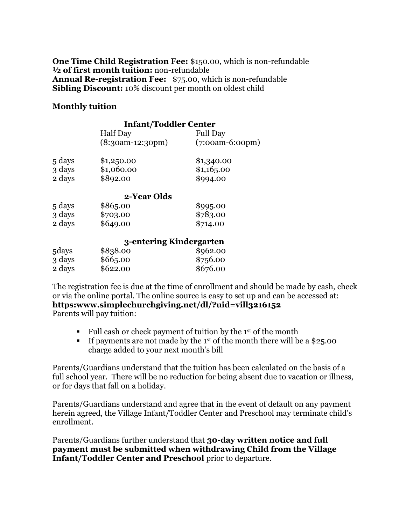**One Time Child Registration Fee:** \$150.00, which is non-refundable **½ of first month tuition:** non-refundable **Annual Re-registration Fee:** \$75.00, which is non-refundable **Sibling Discount:** 10% discount per month on oldest child

### **Monthly tuition**

|        | <b>Infant/Toddler Center</b> |                   |
|--------|------------------------------|-------------------|
|        | <b>Half</b> Day              | <b>Full Day</b>   |
|        | $(8:30am-12:30pm)$           | $(7:00am-6:00pm)$ |
| 5 days | \$1,250.00                   | \$1,340.00        |
| 3 days | \$1,060.00                   | \$1,16,5.00       |
| 2 days | \$892.00                     | \$994.00          |
|        | 2-Year Olds                  |                   |
| 5 days | \$865.00                     | \$995.00          |
| 3 days | \$703.00                     | \$783.00          |
| 2 days | \$649.00                     | \$714.00          |
|        | 3-entering Kindergarten      |                   |
| 5 days | \$838.00                     | \$962.00          |
| 3 days | \$665.00                     | \$756.00          |

2 days \$622.00 \$676.00

The registration fee is due at the time of enrollment and should be made by cash, check or via the online portal. The online source is easy to set up and can be accessed at: **https:www.simplechurchgiving.net/dl/?uid=vill3216152**

Parents will pay tuition:

- Full cash or check payment of tuition by the 1<sup>st</sup> of the month
- **•** If payments are not made by the 1<sup>st</sup> of the month there will be a \$25.00 charge added to your next month's bill

Parents/Guardians understand that the tuition has been calculated on the basis of a full school year. There will be no reduction for being absent due to vacation or illness, or for days that fall on a holiday.

Parents/Guardians understand and agree that in the event of default on any payment herein agreed, the Village Infant/Toddler Center and Preschool may terminate child's enrollment.

Parents/Guardians further understand that **30-day written notice and full payment must be submitted when withdrawing Child from the Village Infant/Toddler Center and Preschool** prior to departure.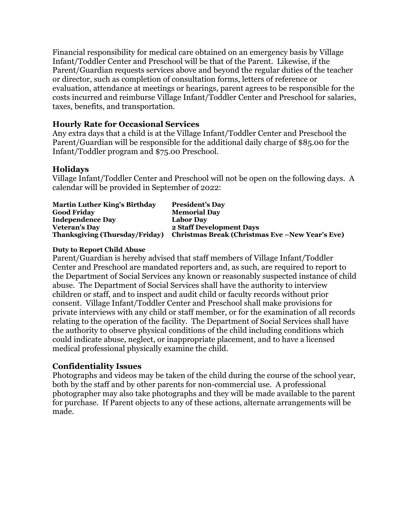Financial responsibility for medical care obtained on an emergency basis by Village Infant/Toddler Center and Preschool will be that of the Parent. Likewise, if the Parent/Guardian requests services above and beyond the regular duties of the teacher or director, such as completion of consultation forms, letters of reference or evaluation, attendance at meetings or hearings, parent agrees to be responsible for the costs incurred and reimburse Village Infant/Toddler Center and Preschool for salaries, taxes, benefits, and transportation.

### **Hourly Rate for Occasional Services**

Any extra days that a child is at the Village Infant/Toddler Center and Preschool the Parent/Guardian will be responsible for the additional daily charge of \$85.00 for the Infant/Toddler program and \$75.00 Preschool.

### **Holidays**

Village Infant/Toddler Center and Preschool will not be open on the following days. A calendar will be provided in September of 2022:

| <b>Martin Luther King's Birthday</b>  | <b>President's Day</b>                           |
|---------------------------------------|--------------------------------------------------|
| <b>Good Friday</b>                    | <b>Memorial Day</b>                              |
| <b>Independence Day</b>               | <b>Labor Day</b>                                 |
| <b>Veteran's Day</b>                  | 2 Staff Development Days                         |
| <b>Thanksgiving (Thursday/Friday)</b> | Christmas Break (Christmas Eve – New Year's Eve) |

#### **Duty to Report Child Abuse**

Parent/Guardian is hereby advised that staff members of Village Infant/Toddler Center and Preschool are mandated reporters and, as such, are required to report to the Department of Social Services any known or reasonably suspected instance of child abuse. The Department of Social Services shall have the authority to interview children or staff, and to inspect and audit child or faculty records without prior consent. Village Infant/Toddler Center and Preschool shall make provisions for private interviews with any child or staff member, or for the examination of all records relating to the operation of the facility. The Department of Social Services shall have the authority to observe physical conditions of the child including conditions which could indicate abuse, neglect, or inappropriate placement, and to have a licensed medical professional physically examine the child.

### **Confidentiality Issues**

Photographs and videos may be taken of the child during the course of the school year, both by the staff and by other parents for non-commercial use. A professional photographer may also take photographs and they will be made available to the parent for purchase. If Parent objects to any of these actions, alternate arrangements will be made.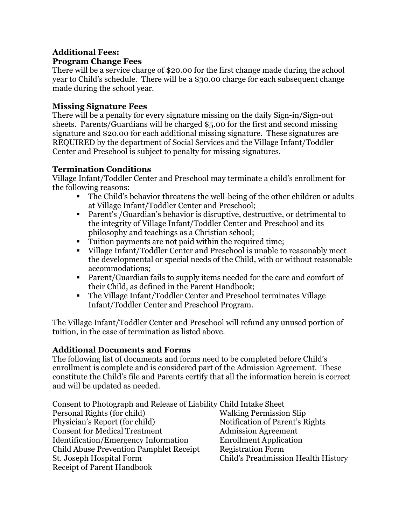#### **Additional Fees: Program Change Fees**

There will be a service charge of \$20.00 for the first change made during the school year to Child's schedule. There will be a \$30.00 charge for each subsequent change made during the school year.

# **Missing Signature Fees**

There will be a penalty for every signature missing on the daily Sign-in/Sign-out sheets. Parents/Guardians will be charged \$5.00 for the first and second missing signature and \$20.00 for each additional missing signature. These signatures are REQUIRED by the department of Social Services and the Village Infant/Toddler Center and Preschool is subject to penalty for missing signatures.

# **Termination Conditions**

Village Infant/Toddler Center and Preschool may terminate a child's enrollment for the following reasons:

- The Child's behavior threatens the well-being of the other children or adults at Village Infant/Toddler Center and Preschool;
- Parent's /Guardian's behavior is disruptive, destructive, or detrimental to the integrity of Village Infant/Toddler Center and Preschool and its philosophy and teachings as a Christian school;
- Tuition payments are not paid within the required time;
- § Village Infant/Toddler Center and Preschool is unable to reasonably meet the developmental or special needs of the Child, with or without reasonable accommodations;
- Parent/Guardian fails to supply items needed for the care and comfort of their Child, as defined in the Parent Handbook;
- The Village Infant/Toddler Center and Preschool terminates Village Infant/Toddler Center and Preschool Program.

The Village Infant/Toddler Center and Preschool will refund any unused portion of tuition, in the case of termination as listed above.

## **Additional Documents and Forms**

The following list of documents and forms need to be completed before Child's enrollment is complete and is considered part of the Admission Agreement. These constitute the Child's file and Parents certify that all the information herein is correct and will be updated as needed.

| Consent to Photograph and Release of Liability Child Intake Sheet |                                     |
|-------------------------------------------------------------------|-------------------------------------|
| Personal Rights (for child)                                       | <b>Walking Permission Slip</b>      |
| Physician's Report (for child)                                    | Notification of Parent's Rights     |
| <b>Consent for Medical Treatment</b>                              | <b>Admission Agreement</b>          |
| <b>Identification/Emergency Information</b>                       | <b>Enrollment Application</b>       |
| Child Abuse Prevention Pamphlet Receipt                           | <b>Registration Form</b>            |
| St. Joseph Hospital Form                                          | Child's Preadmission Health History |
| <b>Receipt of Parent Handbook</b>                                 |                                     |